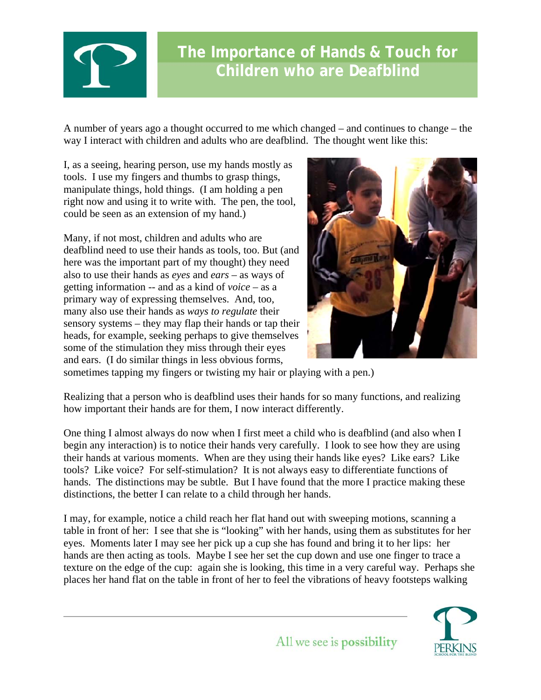

A number of years ago a thought occurred to me which changed – and continues to change – the way I interact with children and adults who are deafblind. The thought went like this:

I, as a seeing, hearing person, use my hands mostly as tools. I use my fingers and thumbs to grasp things, manipulate things, hold things. (I am holding a pen right now and using it to write with. The pen, the tool, could be seen as an extension of my hand.)

Many, if not most, children and adults who are deafblind need to use their hands as tools, too. But (and here was the important part of my thought) they need also to use their hands as *eyes* and *ears* – as ways of getting information -- and as a kind of *voice* – as a primary way of expressing themselves. And, too, many also use their hands as *ways to regulate* their sensory systems – they may flap their hands or tap their heads, for example, seeking perhaps to give themselves some of the stimulation they miss through their eyes and ears. (I do similar things in less obvious forms,



sometimes tapping my fingers or twisting my hair or playing with a pen.)

Realizing that a person who is deafblind uses their hands for so many functions, and realizing how important their hands are for them, I now interact differently.

One thing I almost always do now when I first meet a child who is deafblind (and also when I begin any interaction) is to notice their hands very carefully. I look to see how they are using their hands at various moments. When are they using their hands like eyes? Like ears? Like tools? Like voice? For self-stimulation? It is not always easy to differentiate functions of hands. The distinctions may be subtle. But I have found that the more I practice making these distinctions, the better I can relate to a child through her hands.

I may, for example, notice a child reach her flat hand out with sweeping motions, scanning a table in front of her: I see that she is "looking" with her hands, using them as substitutes for her eyes. Moments later I may see her pick up a cup she has found and bring it to her lips: her hands are then acting as tools. Maybe I see her set the cup down and use one finger to trace a texture on the edge of the cup: again she is looking, this time in a very careful way. Perhaps she places her hand flat on the table in front of her to feel the vibrations of heavy footsteps walking



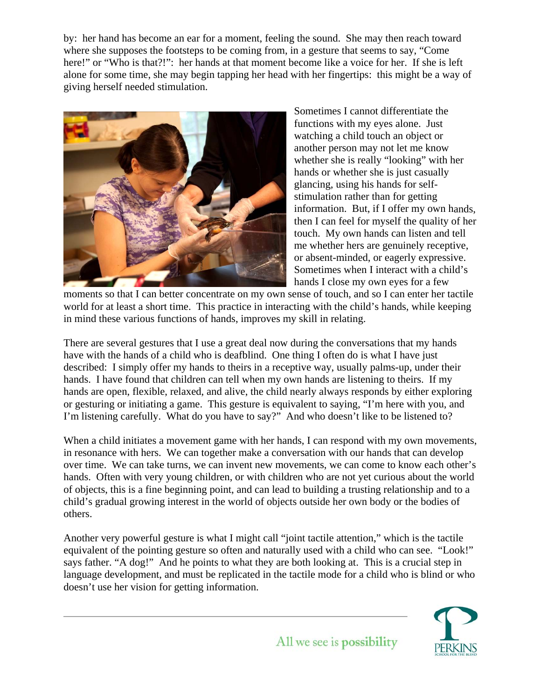by: her hand has become an ear for a moment, feeling the sound. She may then reach toward where she supposes the footsteps to be coming from, in a gesture that seems to say, "Come here!" or "Who is that?!": her hands at that moment become like a voice for her. If she is left alone for some time, she may begin tapping her head with her fingertips: this might be a way of giving herself needed stimulation.



information. But, if I offer my own hands, then I can feel for myself the quality of her touch. My own hands can listen and tell . or absent-minded, or eagerly expressive Sometimes when I interact with a child's Sometimes I cannot differentiate the functions with my eyes alone. Just watching a child touch an object or another person may not let me know whether she is really "looking" with her hands or whether she is just casually glancing, using his hands for selfstimulation rather than for getting me whether hers are genuinely receptive, hands I close my own eyes for a few

moments so that I can better concentrate on my own sense of touch, and so I can enter her tactile world for at least a short time. This practice in interacting with the child's hands, while keeping in mind these various functions of hands, improves my skill in relating.

There are several gestures that I use a great deal now during the conversations that my hands have with the hands of a child who is deafblind. One thing I often do is what I have just described: I simply offer my hands to theirs in a receptive way, usually palms-up, under their hands. I have found that children can tell when my own hands are listening to theirs. If my hands are open, flexible, relaxed, and alive, the child nearly always responds by either exploring or gesturing or initiating a game. This gesture is equivalent to saying, "I'm here with you, and I'm listening carefully. What do you have to say?" And who doesn't like to be listened to?

When a child initiates a movement game with her hands, I can respond with my own movements, in resonance with hers. We can together make a conversation with our hands that can develop over time. We can take turns, we can invent new movements, we can come to know each other's hands. Often with very young children, or with children who are not yet curious about the world of objects, this is a fine beginning point, and can lead to building a trusting relationship and to a child's gradual growing interest in the world of objects outside her own body or the bodies of others.

Another very powerful gesture is what I might call "joint tactile attention," which is the tactile equivalent of the pointing gesture so often and naturally used with a child who can see. "Look!" says father. "A dog!" And he points to what they are both looking at. This is a crucial step in language development, and must be replicated in the tactile mode for a child who is blind or who doesn't use her vision for getting information.

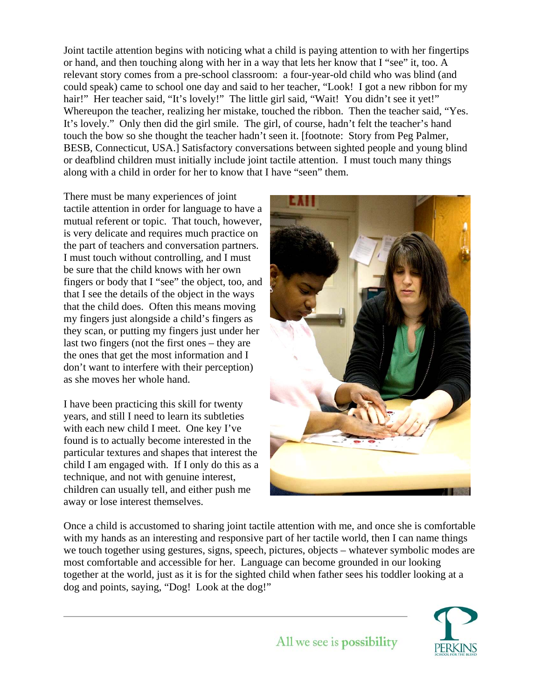Joint tactile attention begins with noticing what a child is paying attention to with her fingertips or hand, and then touching along with her in a way that lets her know that I "see" it, too. A relevant story comes from a pre-school classroom: a four-year-old child who was blind (and could speak) came to school one day and said to her teacher, "Look! I got a new ribbon for my hair!" Her teacher said, "It's lovely!" The little girl said, "Wait! You didn't see it yet!" Whereupon the teacher, realizing her mistake, touched the ribbon. Then the teacher said, "Yes. It's lovely." Only then did the girl smile. The girl, of course, hadn't felt the teacher's hand touch the bow so she thought the teacher hadn't seen it. [footnote: Story from Peg Palmer, BESB, Connecticut, USA.] Satisfactory conversations between sighted people and young blind or deafblind children must initially include joint tactile attention. I must touch many things along with a child in order for her to know that I have "seen" them.

There must be many experiences of joint tactile attention in order for language to have a mutual referent or topic. That touch, however, is very delicate and requires much practice on the part of teachers and conversation partners. I must touch without controlling, and I must be sure that the child knows with her own fingers or body that I "see" the object, too, and that I see the details of the object in the ways that the child does. Often this means moving my fingers just alongside a child's fingers as they scan, or putting my fingers just under her last two fingers (not the first ones – they are the ones that get the most information and I don't want to interfere with their perception) as she moves her whole hand.

I have been practicing this skill for twenty years, and still I need to learn its subtleties with each new child I meet. One key I've found is to actually become interested in the particular textures and shapes that interest the child I am engaged with. If I only do this as a technique, and not with genuine interest, children can usually tell, and either push me away or lose interest themselves.



Once a child is accustomed to sharing joint tactile attention with me, and once she is comfortable with my hands as an interesting and responsive part of her tactile world, then I can name things we touch together using gestures, signs, speech, pictures, objects – whatever symbolic modes are most comfortable and accessible for her. Language can become grounded in our looking together at the world, just as it is for the sighted child when father sees his toddler looking at a dog and points, saying, "Dog! Look at the dog!"